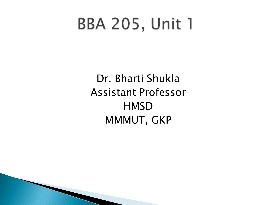## **BBA 205, Unit 1**

Dr. Bharti Shukla Assistant Professor **HMSD** MMMUT, GKP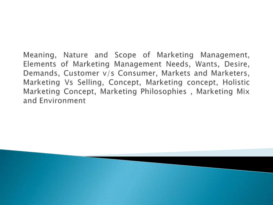Meaning, Nature and Scope of Marketing Management, Elements of Marketing Management Needs, Wants, Desire, Demands, Customer v/s Consumer, Markets and Marketers, Marketing Vs Selling, Concept, Marketing concept, Holistic Marketing Concept, Marketing Philosophies, Marketing Mix and Environment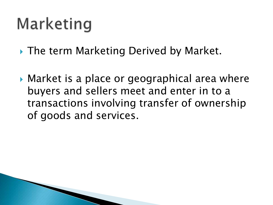# Marketing

▶ The term Marketing Derived by Market.

 Market is a place or geographical area where buyers and sellers meet and enter in to a transactions involving transfer of ownership of goods and services.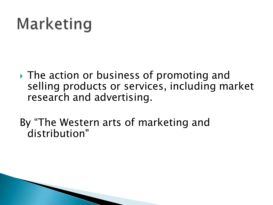# Marketing

- ▸ The action or business of promoting and selling products or services, including market research and advertising.
- By "The Western arts of marketing and distribution"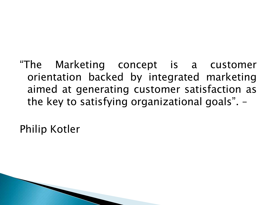"The Marketing concept is a customer orientation backed by integrated marketing aimed at generating customer satisfaction as the key to satisfying organizational goals". –

Philip Kotler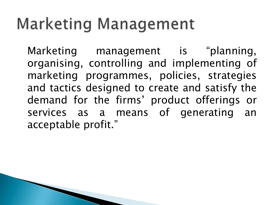# Marketing Management

Marketing management is "planning, organising, controlling and implementing of marketing programmes, policies, strategies and tactics designed to create and satisfy the demand for the firms' product offerings or services as a means of generating an acceptable profit."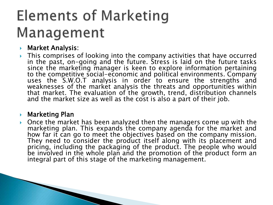## **Elements of Marketing** Management

## **Market Analysis:**

▶ This comprises of looking into the company activities that have occurred in the past, on-going and the future. Stress is laid on the future tasks since the marketing manager is keen to explore information pertaining to the competitive social-economic and political environments. Company uses the S.W.O.T analysis in order to ensure the strengths and weaknesses of the market analysis the threats and opportunities within that market. The evaluation of the growth, trend, distribution channels and the market size as well as the cost is also a part of their job.

## ▶ Marketing Plan

 Once the market has been analyzed then the managers come up with the marketing plan. This expands the company agenda for the market and how far it can go to meet the objectives based on the company mission. They need to consider the product itself along with its placement and pricing, including the packaging of the product. The people who would be involved in the whole plan and the promotion of the product form an integral part of this stage of the marketing management.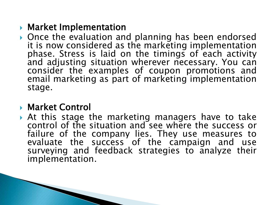## Market Implementation

▶ Once the evaluation and planning has been endorsed it is now considered as the marketing implementation phase. Stress is laid on the timings of each activity and adjusting situation wherever necessary. You can consider the examples of coupon promotions and email marketing as part of marketing implementation stage.

## ▶ Market Control

 At this stage the marketing managers have to take control of the situation and see where the success or failure of the company lies. They use measures to evaluate the success of the campaign and use surveying and feedback strategies to analyze their implementation.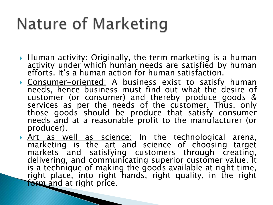# **Nature of Marketing**

- **Human activity:** Originally, the term marketing is a human activity under which human needs are satisfied by human efforts. It's a human action for human satisfaction.
- **Consumer-oriented:** A business exist to satisfy human needs, hence business must find out what the desire of customer (or consumer) and thereby produce goods & services as per the needs of the customer. Thus, only those goods should be produce that satisfy consumer needs and at a reasonable profit to the manufacturer (or producer).
- Art as well as science: In the technological arena, marketing is the art and science of choosing target markets and satisfying customers through creating, delivering, and communicating superior customer value. It is a technique of making the goods available at right time, right place, into right hands, right quality, in the right form and at right price.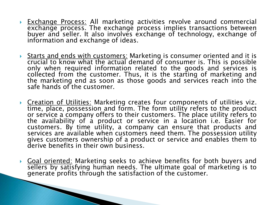- **Exchange Process:** All marketing activities revolve around commercial exchange process. The exchange process implies transactions between buyer and seller. It also involves exchange of technology, exchange of information and exchange of ideas.
- Starts and ends with customers: Marketing is consumer oriented and it is crucial to know what the actual demand of consumer is. This is possible only when required information related to the goods and services is collected from the customer. Thus, it is the starting of marketing and the marketing end as soon as those goods and services reach into the safe hands of the customer.
- **Creation of Utilities:** Marketing creates four components of utilities viz. time, place, possession and form. The form utility refers to the product or service a company offers to their customers. The place utility refers to the availability of a product or service in a location i.e. Easier for customers. By time utility, a company can ensure that products and services are available when customers need them. The possession utility gives customers ownership of a product or service and enables them to derive benefits in their own business.
- Goal oriented: Marketing seeks to achieve benefits for both buyers and sellers by satisfying human needs. The ultimate goal of marketing is to generate profits through the satisfaction of the customer.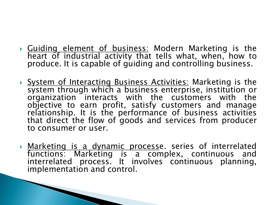- **Guiding element of business: Modern Marketing is the** heart of industrial activity that tells what, when, how to produce. It is capable of guiding and controlling business.
- System of Interacting Business Activities: Marketing is the system through which a business enterprise, institution or organization interacts with the customers with the objective to earn profit, satisfy customers and manage relationship. It is the performance of business activities that direct the flow of goods and services from producer to consumer or user.
- **Marketing is a dynamic processe.** series of interrelated functions: Marketing is a complex, continuous and interrelated process. It involves continuous planning, implementation and control.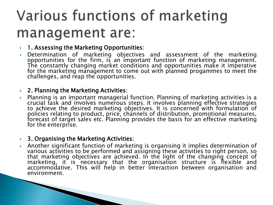## Various functions of marketing management are:

### ▶ 1. Assessing the Marketing Opportunities:

 Determination of marketing objectives and assessment of the marketing opportunities for the firm, is an important function of marketing management. The constantly changing market conditions and opportunities make it imperative for the marketing management to come out with planned progammes to meet the challenges, and reap the opportunities.

#### ▶ 2. Planning the Marketing Activities:

 Planning is an important managerial function. Planning of marketing activities is a crucial task and involves numerous steps. It involves planning effective strategies to achieve the desired marketing objectives. It is concerned with formulation of policies relating to product, price, channels of distribution, promotional measures, forecast of target sales etc. Planning provides the basis for an effective marketing for the enterprise.

### ▶ 3. Organising the Marketing Activities:

 Another significant function of marketing is organising it implies determination of various activities to be performed and assigning these activities to right person, so that marketing objectives are achieved. In the light of the changing concept of marketing, it is necessary that the organisation structure is flexible and accommodative. This will help in better interaction between organisation and environment.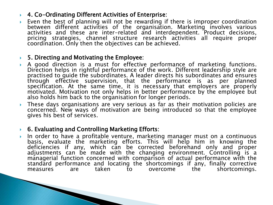## 4. Co-Ordinating Different Activities of Enterprise:

 Even the best of planning will not be rewarding if there is improper coordination between different activities of the organisation. Marketing involves various activities and these are inter-related and interdependent. Product decisions, pricing strategies, channel structure research activities all require proper coordination. Only then the objectives can be achieved.

### ▶ 5. Directing and Motivating the Employee:

- A good direction is a must for effective performance of marketing functions. Direction helps in rightful performance of the work. Different leadership style are practised to guide the subordinates. A leader directs his subordinates and ensures through effective supervision, that the performance is as per planned specification. At the same time, it is necessary that employers are properly motivated. Motivation not only helps in better performance by the employee but also holds him back to the organisation for longer periods.
- These days organisations are very serious as far as their motivation policies are concerned. New ways of motivation are being introduced so that the employee gives his best of services.

### ▶ 6. Evaluating and Controlling Marketing Efforts:

 In order to have a profitable venture, marketing manager must on a continuous basis, evaluate the marketing efforts. This will help him in knowing the deficiencies if any, which can be corrected beforehand only and proper adjustments can be made with the changing environment. Controlling is a managerial function concerned with comparison of actual performance with the standard performance and locating the shortcomings if any, finally corrective<br>measures are taken to overcome the shortcomings. measures are taken to overcome the shortcomings.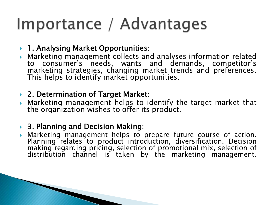# Importance / Advantages

## ▶ 1. Analysing Market Opportunities:

 Marketing management collects and analyses information related to consumer's needs, wants and demands, competitor's marketing strategies, changing market trends and preferences. This helps to identify market opportunities.

## ▶ 2. Determination of Target Market:

 Marketing management helps to identify the target market that the organization wishes to offer its product.

## ▶ 3. Planning and Decision Making:

 Marketing management helps to prepare future course of action. Planning relates to product introduction, diversification. Decision making regarding pricing, selection of promotional mix, selection of distribution channel is taken by the marketing management.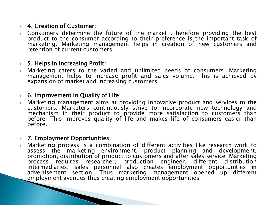## ▶ 4. Creation of Customer:

 Consumers determine the future of the market .Therefore providing the best product to the consumer according to their preference is the important task of marketing. Marketing management helps in creation of new customers and retention of current customers.

### ▶ 5. Helps in Increasing Profit:

 Marketing caters to the varied and unlimited needs of consumers. Marketing management helps to increase profit and sales volume. This is achieved by expansion of market and increasing customers.

### ▶ 6. Improvement in Quality of Life:

 Marketing management aims at providing innovative product and services to the customers. Marketers continuously strive to incorporate new technology and mechanism in their product to provide more satisfaction to customers than before. This improves quality of life and makes life of consumers easier than before.

#### ▶ 7. Employment Opportunities:

 Marketing process is a combination of different activities like research work to assess the marketing environment, product planning and development, promotion, distribution of product to customers and after sales service. Marketing process requires researcher, production engineer, different distribution intermediaries, sales personnel also creates employment opportunities in advertisement section. Thus marketing management opened up different employment avenues thus creating employment opportunities.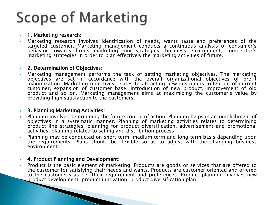## **Scope of Marketing**

#### $\blacktriangleright$  1. Marketing research:

 Marketing research involves identification of needs, wants taste and preferences of the targeted customer. Marketing management conducts a continuous analysis of consumer's behavior towards firm's marketing mix strategies, business environment; competitor's marketing strategies in order to plan effectively the marketing activities of future.

#### ▶ 2. Determination of Objectives:

 Marketing management performs the task of setting marketing objectives. The marketing objectives are set in accordance with the overall organizational objectives of profit maximization. Marketing objectives relates to attracting new customers, retention of current customer, expansion of customer base, introduction of new product, improvement of old product and so on. Marketing management aims at maximizing the customer's value by providing high satisfaction to the customers.

#### ▶ 3. Planning Marketing Activities:

- Planning involves determining the future course of action. Planning helps in accomplishment of objectives in a systematic manner. Planning of marketing activities relates to determining product line strategies, planning for product diversification, advertisement and promotional activities, planning related to selling and distribution process.
- **Planning may be conducted on short term, medium term and long term basis depending upon** the requirements. Plans should be flexible so as to adjust with the changing business environment.

#### ▶ 4. Product Planning and Development:

**CONTRACTOR** 

**Product is the basic element of marketing. Products are goods or services that are offered to** the customer for satisfying their needs and wants. Products are customer oriented and offered to the customer's as per their requirement and preferences. Product planning involves new product development, product innovation, product diversification plan.